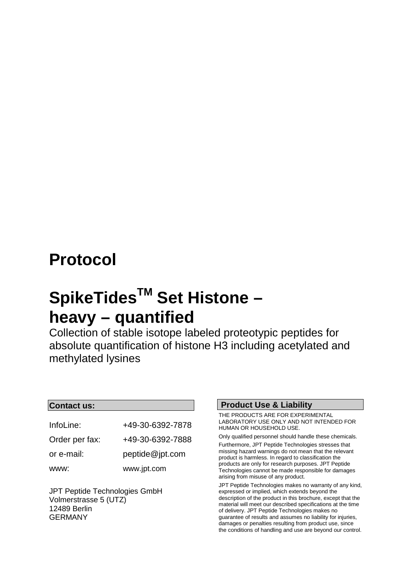## **Protocol**

## **SpikeTidesTM Set Histone – heavy – quantified**

Collection of stable isotope labeled proteotypic peptides for absolute quantification of histone H3 including acetylated and methylated lysines

### **Contact us:**

| InfoLine:      | +49-30-6392-7878 |
|----------------|------------------|
| Order per fax: | +49-30-6392-7888 |
| or e-mail:     | peptide@ipt.com  |
| www:           | www.jpt.com      |

JPT Peptide Technologies GmbH Volmerstrasse 5 (UTZ) 12489 Berlin GERMANY

### **Product Use & Liability**

THE PRODUCTS ARE FOR EXPERIMENTAL LABORATORY USE ONLY AND NOT INTENDED FOR HUMAN OR HOUSEHOLD USE.

Only qualified personnel should handle these chemicals. Furthermore, JPT Peptide Technologies stresses that missing hazard warnings do not mean that the relevant product is harmless. In regard to classification the products are only for research purposes. JPT Peptide Technologies cannot be made responsible for damages arising from misuse of any product.

JPT Peptide Technologies makes no warranty of any kind, expressed or implied, which extends beyond the description of the product in this brochure, except that the material will meet our described specifications at the time of delivery. JPT Peptide Technologies makes no guarantee of results and assumes no liability for injuries, damages or penalties resulting from product use, since the conditions of handling and use are beyond our control.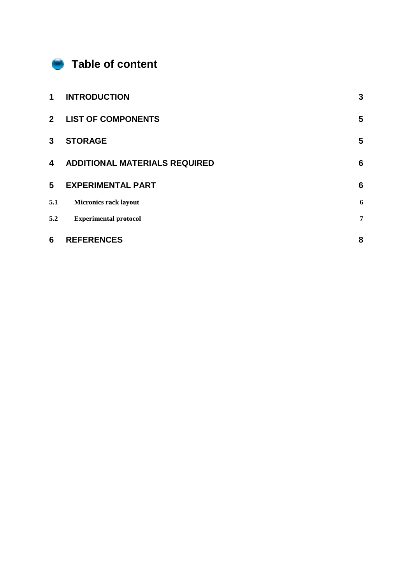### **Table of content**

f

| 6           | <b>REFERENCES</b>                    | 8               |
|-------------|--------------------------------------|-----------------|
| 5.2         | <b>Experimental protocol</b>         | 7               |
| 5.1         | <b>Micronics rack layout</b>         | 6               |
| 5           | <b>EXPERIMENTAL PART</b>             | 6               |
| 4           | <b>ADDITIONAL MATERIALS REQUIRED</b> | $6\phantom{1}6$ |
| 3           | <b>STORAGE</b>                       | 5               |
| $2^{\circ}$ | <b>LIST OF COMPONENTS</b>            | 5               |
| $\mathbf 1$ | <b>INTRODUCTION</b>                  | 3               |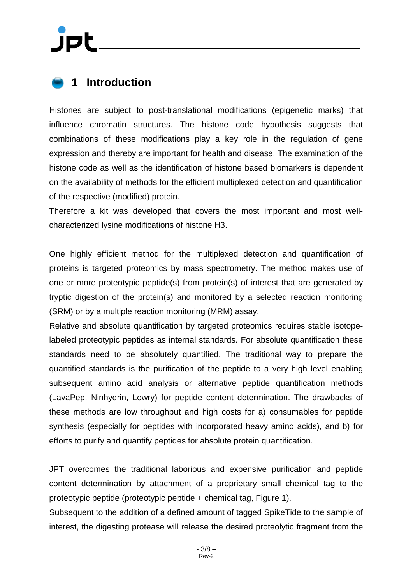### <span id="page-2-0"></span>**1 Introduction**

Histones are subject to post-translational modifications (epigenetic marks) that influence chromatin structures. The histone code hypothesis suggests that combinations of these modifications play a key role in the regulation of gene expression and thereby are important for health and disease. The examination of the histone code as well as the identification of histone based biomarkers is dependent on the availability of methods for the efficient multiplexed detection and quantification of the respective (modified) protein.

Therefore a kit was developed that covers the most important and most wellcharacterized lysine modifications of histone H3.

One highly efficient method for the multiplexed detection and quantification of proteins is targeted proteomics by mass spectrometry. The method makes use of one or more proteotypic peptide(s) from protein(s) of interest that are generated by tryptic digestion of the protein(s) and monitored by a selected reaction monitoring (SRM) or by a multiple reaction monitoring (MRM) assay.

Relative and absolute quantification by targeted proteomics requires stable isotopelabeled proteotypic peptides as internal standards. For absolute quantification these standards need to be absolutely quantified. The traditional way to prepare the quantified standards is the purification of the peptide to a very high level enabling subsequent amino acid analysis or alternative peptide quantification methods (LavaPep, Ninhydrin, Lowry) for peptide content determination. The drawbacks of these methods are low throughput and high costs for a) consumables for peptide synthesis (especially for peptides with incorporated heavy amino acids), and b) for efforts to purify and quantify peptides for absolute protein quantification.

JPT overcomes the traditional laborious and expensive purification and peptide content determination by attachment of a proprietary small chemical tag to the proteotypic peptide (proteotypic peptide + chemical tag, Figure 1).

Subsequent to the addition of a defined amount of tagged SpikeTide to the sample of interest, the digesting protease will release the desired proteolytic fragment from the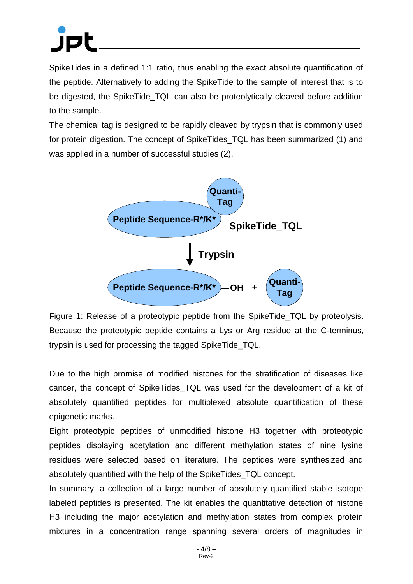SpikeTides in a defined 1:1 ratio, thus enabling the exact absolute quantification of the peptide. Alternatively to adding the SpikeTide to the sample of interest that is to be digested, the SpikeTide TQL can also be proteolytically cleaved before addition to the sample.

The chemical tag is designed to be rapidly cleaved by trypsin that is commonly used for protein digestion. The concept of SpikeTides\_TQL has been summarized (1) and was applied in a number of successful studies (2).



Figure 1: Release of a proteotypic peptide from the SpikeTide TQL by proteolysis. Because the proteotypic peptide contains a Lys or Arg residue at the C-terminus, trypsin is used for processing the tagged SpikeTide\_TQL.

Due to the high promise of modified histones for the stratification of diseases like cancer, the concept of SpikeTides\_TQL was used for the development of a kit of absolutely quantified peptides for multiplexed absolute quantification of these epigenetic marks.

Eight proteotypic peptides of unmodified histone H3 together with proteotypic peptides displaying acetylation and different methylation states of nine lysine residues were selected based on literature. The peptides were synthesized and absolutely quantified with the help of the SpikeTides\_TQL concept.

In summary, a collection of a large number of absolutely quantified stable isotope labeled peptides is presented. The kit enables the quantitative detection of histone H3 including the major acetylation and methylation states from complex protein mixtures in a concentration range spanning several orders of magnitudes in

> - 4/8 – Rev-2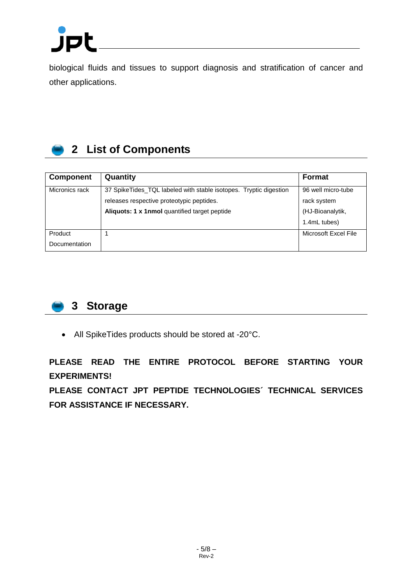

biological fluids and tissues to support diagnosis and stratification of cancer and other applications.

## <span id="page-4-0"></span>**2 List of Components**

| <b>Component</b> | Quantity                                                          | Format               |
|------------------|-------------------------------------------------------------------|----------------------|
| Micronics rack   | 37 SpikeTides_TQL labeled with stable isotopes. Tryptic digestion | 96 well micro-tube   |
|                  | releases respective proteotypic peptides.                         | rack system          |
|                  | Aliquots: 1 x 1nmol quantified target peptide                     | (HJ-Bioanalytik,     |
|                  |                                                                   | 1.4mL tubes)         |
| Product          |                                                                   | Microsoft Excel File |
| Documentation    |                                                                   |                      |

<span id="page-4-1"></span>

• All SpikeTides products should be stored at -20°C.

**PLEASE READ THE ENTIRE PROTOCOL BEFORE STARTING YOUR EXPERIMENTS!** 

**PLEASE CONTACT JPT PEPTIDE TECHNOLOGIES´ TECHNICAL SERVICES FOR ASSISTANCE IF NECESSARY.**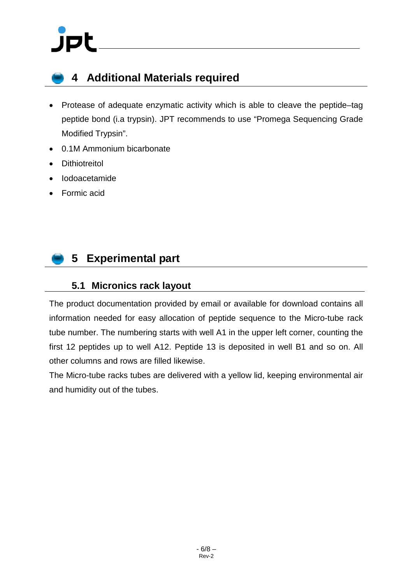# jpl

### <span id="page-5-0"></span>**4 Additional Materials required**

- Protease of adequate enzymatic activity which is able to cleave the peptide–tag peptide bond (i.a trypsin). JPT recommends to use "Promega Sequencing Grade Modified Trypsin".
- 0.1M Ammonium bicarbonate
- Dithiotreitol
- Iodoacetamide
- Formic acid

### <span id="page-5-1"></span>**5 Experimental part**

### <span id="page-5-2"></span>**5.1 Micronics rack layout**

The product documentation provided by email or available for download contains all information needed for easy allocation of peptide sequence to the Micro-tube rack tube number. The numbering starts with well A1 in the upper left corner, counting the first 12 peptides up to well A12. Peptide 13 is deposited in well B1 and so on. All other columns and rows are filled likewise.

The Micro-tube racks tubes are delivered with a yellow lid, keeping environmental air and humidity out of the tubes.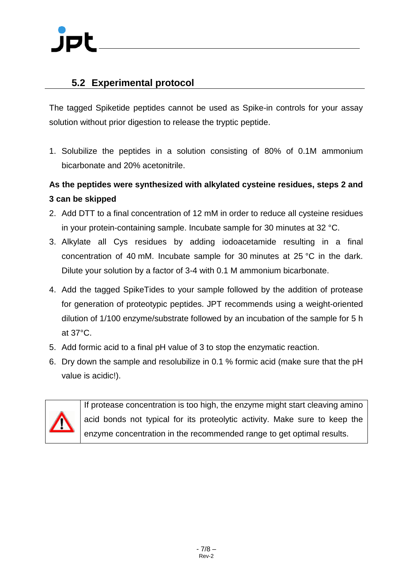### <span id="page-6-0"></span>**5.2 Experimental protocol**

The tagged Spiketide peptides cannot be used as Spike-in controls for your assay solution without prior digestion to release the tryptic peptide.

1. Solubilize the peptides in a solution consisting of 80% of 0.1M ammonium bicarbonate and 20% acetonitrile.

### **As the peptides were synthesized with alkylated cysteine residues, steps 2 and 3 can be skipped**

- 2. Add DTT to a final concentration of 12 mM in order to reduce all cysteine residues in your protein-containing sample. Incubate sample for 30 minutes at 32 °C.
- 3. Alkylate all Cys residues by adding iodoacetamide resulting in a final concentration of 40 mM. Incubate sample for 30 minutes at 25 °C in the dark. Dilute your solution by a factor of 3-4 with 0.1 M ammonium bicarbonate.
- 4. Add the tagged SpikeTides to your sample followed by the addition of protease for generation of proteotypic peptides. JPT recommends using a weight-oriented dilution of 1/100 enzyme/substrate followed by an incubation of the sample for 5 h at 37°C.
- 5. Add formic acid to a final pH value of 3 to stop the enzymatic reaction.
- 6. Dry down the sample and resolubilize in 0.1 % formic acid (make sure that the pH value is acidic!).



If protease concentration is too high, the enzyme might start cleaving amino acid bonds not typical for its proteolytic activity. Make sure to keep the enzyme concentration in the recommended range to get optimal results.